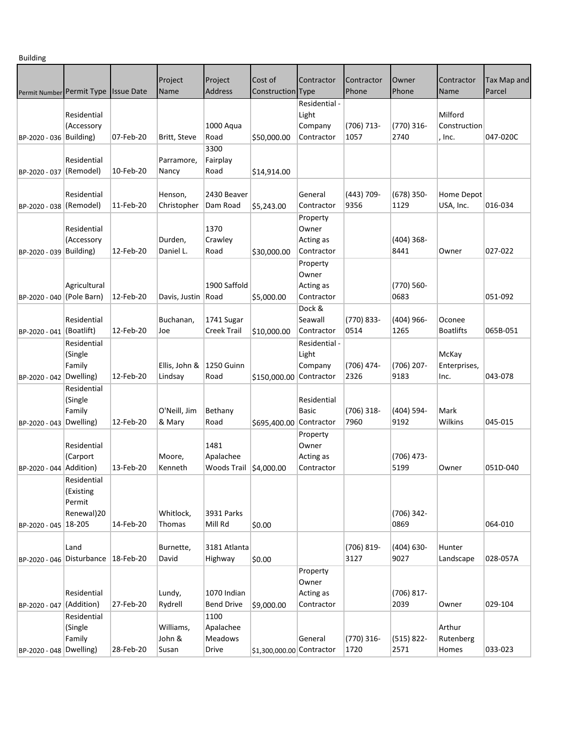Building

| ۰                         |                          |                   |                    |                        |                           |                       |                    |                      |                  |             |
|---------------------------|--------------------------|-------------------|--------------------|------------------------|---------------------------|-----------------------|--------------------|----------------------|------------------|-------------|
|                           |                          |                   |                    | Project                | Cost of                   | Contractor            | Contractor         | Owner                | Contractor       | Tax Map and |
| Permit Number Permit Type |                          | <b>Issue Date</b> | Project<br>Name    | <b>Address</b>         | Construction Type         |                       | Phone              | Phone                | Name             | Parcel      |
|                           |                          |                   |                    |                        |                           |                       |                    |                      |                  |             |
|                           | Residential              |                   |                    |                        |                           | Residential -         |                    |                      | Milford          |             |
|                           |                          |                   |                    |                        |                           | Light                 |                    |                      | Construction     |             |
|                           | (Accessory               |                   |                    | 1000 Aqua              |                           | Company<br>Contractor | (706) 713-<br>1057 | $(770)$ 316-<br>2740 |                  | 047-020C    |
| BP-2020 - 036 Building)   |                          | 07-Feb-20         | Britt, Steve       | Road                   | \$50,000.00               |                       |                    |                      | , Inc.           |             |
|                           |                          |                   |                    | 3300                   |                           |                       |                    |                      |                  |             |
|                           | Residential              |                   | Parramore,         | Fairplay               |                           |                       |                    |                      |                  |             |
| BP-2020 - 037 (Remodel)   |                          | 10-Feb-20         | Nancy              | Road                   | \$14,914.00               |                       |                    |                      |                  |             |
|                           |                          |                   |                    |                        |                           |                       |                    |                      |                  |             |
|                           | Residential              |                   | Henson,            | 2430 Beaver            |                           | General               | (443) 709-         | $(678)$ 350-         | Home Depot       |             |
| BP-2020 - 038 (Remodel)   |                          | 11-Feb-20         | Christopher        | Dam Road               | \$5,243.00                | Contractor            | 9356               | 1129                 | USA, Inc.        | 016-034     |
|                           |                          |                   |                    |                        |                           | Property              |                    |                      |                  |             |
|                           | Residential              |                   |                    | 1370                   |                           | Owner                 |                    |                      |                  |             |
|                           | (Accessory               |                   | Durden,            | Crawley                |                           | Acting as             |                    | $(404)$ 368-         |                  |             |
| BP-2020 - 039             | Building)                | 12-Feb-20         | Daniel L.          | Road                   | \$30,000.00               | Contractor            |                    | 8441                 | Owner            | 027-022     |
|                           |                          |                   |                    |                        |                           | Property              |                    |                      |                  |             |
|                           |                          |                   |                    |                        |                           | Owner                 |                    |                      |                  |             |
|                           | Agricultural             |                   |                    | 1900 Saffold           |                           | Acting as             |                    | $(770)$ 560-         |                  |             |
| BP-2020 - 040             | (Pole Barn)              | 12-Feb-20         | Davis, Justin      | Road                   | \$5,000.00                | Contractor            |                    | 0683                 |                  | 051-092     |
|                           |                          |                   |                    |                        |                           | Dock &                |                    |                      |                  |             |
|                           | Residential              |                   | Buchanan,          | 1741 Sugar             |                           | Seawall               | (770) 833-         | (404) 966-           | Oconee           |             |
| BP-2020 - 041             | (Boatlift)               | 12-Feb-20         | Joe                | <b>Creek Trail</b>     | \$10,000.00               | Contractor            | 0514               | 1265                 | <b>Boatlifts</b> | 065B-051    |
|                           | Residential              |                   |                    |                        |                           | Residential -         |                    |                      |                  |             |
|                           | (Single                  |                   |                    |                        |                           | Light                 |                    |                      | McKay            |             |
|                           | Family                   |                   | Ellis, John &      | 1250 Guinn             |                           | Company               | (706) 474-         | $(706)$ 207-         | Enterprises,     |             |
| BP-2020 - 042             | Dwelling)                | 12-Feb-20         | Lindsay            | Road                   | \$150,000.00 Contractor   |                       | 2326               | 9183                 | Inc.             | 043-078     |
|                           | Residential              |                   |                    |                        |                           |                       |                    |                      |                  |             |
|                           | (Single                  |                   |                    |                        |                           | Residential           |                    |                      |                  |             |
|                           | Family                   |                   | O'Neill, Jim       | Bethany                |                           | <b>Basic</b>          | $(706)$ 318-       | (404) 594-           | Mark             |             |
| BP-2020 - 043 Dwelling)   |                          | 12-Feb-20         | & Mary             | Road                   | \$695,400.00 Contractor   |                       | 7960               | 9192                 | Wilkins          | 045-015     |
|                           |                          |                   |                    |                        |                           | Property              |                    |                      |                  |             |
|                           | Residential              |                   |                    | 1481                   |                           | Owner                 |                    |                      |                  |             |
|                           | (Carport                 |                   | Moore,             | Apalachee              |                           | Acting as             |                    | (706) 473-           |                  |             |
| BP-2020 - 044 Addition)   |                          | 13-Feb-20         | Kenneth            | Woods Trail \$4,000.00 |                           | Contractor            |                    | 5199                 | Owner            | 051D-040    |
|                           |                          |                   |                    |                        |                           |                       |                    |                      |                  |             |
|                           | Residential<br>(Existing |                   |                    |                        |                           |                       |                    |                      |                  |             |
|                           | Permit                   |                   |                    |                        |                           |                       |                    |                      |                  |             |
|                           | Renewal)20               |                   | Whitlock,          | 3931 Parks             |                           |                       |                    | (706) 342-           |                  |             |
| BP-2020 - 045 18-205      |                          | 14-Feb-20         | Thomas             | Mill Rd                |                           |                       |                    | 0869                 |                  | 064-010     |
|                           |                          |                   |                    |                        | \$0.00                    |                       |                    |                      |                  |             |
|                           | Land                     |                   |                    | 3181 Atlanta           |                           |                       | (706) 819-         | (404) 630-           | Hunter           |             |
| BP-2020 - 046 Disturbance |                          | 18-Feb-20         | Burnette,<br>David |                        |                           |                       | 3127               | 9027                 | Landscape        | 028-057A    |
|                           |                          |                   |                    | Highway                | \$0.00                    |                       |                    |                      |                  |             |
|                           |                          |                   |                    |                        |                           | Property              |                    |                      |                  |             |
|                           |                          |                   |                    |                        |                           | Owner                 |                    |                      |                  |             |
|                           | Residential              |                   | Lundy,             | 1070 Indian            |                           | Acting as             |                    | $(706) 817 -$        |                  |             |
| BP-2020 - 047             | (Addition)               | 27-Feb-20         | Rydrell            | <b>Bend Drive</b>      | \$9,000.00                | Contractor            |                    | 2039                 | Owner            | 029-104     |
|                           | Residential              |                   |                    | 1100                   |                           |                       |                    |                      |                  |             |
|                           | (Single                  |                   | Williams,          | Apalachee              |                           |                       |                    |                      | Arthur           |             |
|                           | Family                   |                   | John &             | <b>Meadows</b>         |                           | General               | (770) 316-         | $(515) 822 -$        | Rutenberg        |             |
| BP-2020 - 048 Dwelling)   |                          | 28-Feb-20         | Susan              | Drive                  | \$1,300,000.00 Contractor |                       | 1720               | 2571                 | Homes            | 033-023     |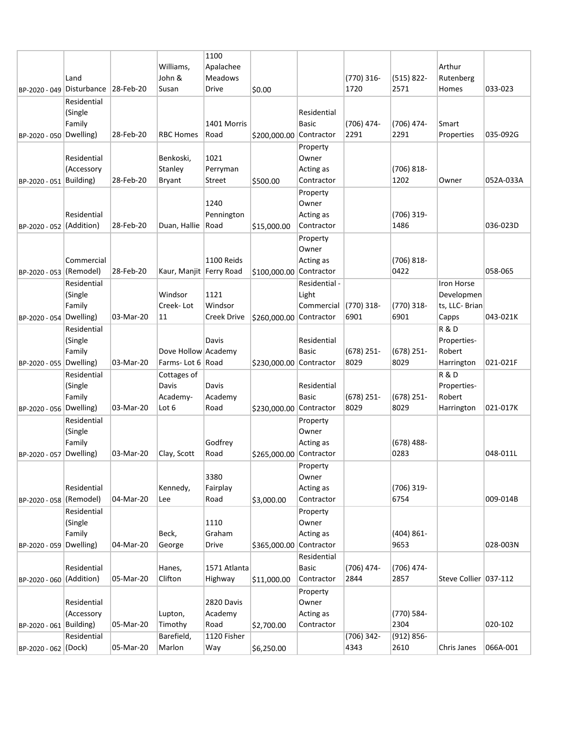|                           |                     |           |                           | 1100             |                         |                    |              |                      |                       |           |
|---------------------------|---------------------|-----------|---------------------------|------------------|-------------------------|--------------------|--------------|----------------------|-----------------------|-----------|
|                           |                     |           | Williams,                 | Apalachee        |                         |                    |              |                      | Arthur                |           |
|                           | Land                |           | John &                    | <b>Meadows</b>   |                         |                    | (770) 316-   | $(515) 822 -$        | Rutenberg             |           |
| BP-2020 - 049 Disturbance |                     | 28-Feb-20 | Susan                     | Drive            | \$0.00                  |                    | 1720         | 2571                 | Homes                 | 033-023   |
|                           | Residential         |           |                           |                  |                         |                    |              |                      |                       |           |
|                           | (Single             |           |                           |                  |                         | Residential        |              |                      |                       |           |
|                           | Family              |           |                           | 1401 Morris      |                         | <b>Basic</b>       | (706) 474-   | $(706)$ 474-         | Smart                 |           |
| BP-2020 - 050 Dwelling)   |                     | 28-Feb-20 | RBC Homes                 | Road             | \$200,000.00 Contractor |                    | 2291         | 2291                 | Properties            | 035-092G  |
|                           |                     |           |                           |                  |                         | Property           |              |                      |                       |           |
|                           | Residential         |           | Benkoski,                 | 1021             |                         | Owner              |              |                      |                       |           |
|                           | (Accessory          |           | Stanley                   | Perryman         |                         | Acting as          |              | (706) 818-           |                       |           |
| BP-2020 - 051 Building)   |                     | 28-Feb-20 | <b>Bryant</b>             | Street           | \$500.00                | Contractor         |              | 1202                 | Owner                 | 052A-033A |
|                           |                     |           |                           |                  |                         | Property           |              |                      |                       |           |
|                           |                     |           |                           | 1240             |                         | Owner              |              |                      |                       |           |
|                           | Residential         |           |                           | Pennington       |                         | Acting as          |              | $(706)$ 319-         |                       |           |
| BP-2020 - 052 (Addition)  |                     | 28-Feb-20 | Duan, Hallie              | Road             | \$15,000.00             | Contractor         |              | 1486                 |                       | 036-023D  |
|                           |                     |           |                           |                  |                         | Property           |              |                      |                       |           |
|                           |                     |           |                           |                  |                         | Owner              |              |                      |                       |           |
|                           | Commercial          |           |                           | 1100 Reids       |                         | Acting as          |              | $(706) 818 -$        |                       |           |
| BP-2020 - 053 (Remodel)   |                     | 28-Feb-20 | Kaur, Manjit   Ferry Road |                  | \$100,000.00 Contractor |                    |              | 0422                 |                       | 058-065   |
|                           | Residential         |           |                           |                  |                         | Residential -      |              |                      | Iron Horse            |           |
|                           | (Single             |           | Windsor                   | 1121             |                         | Light              |              |                      | Developmen            |           |
|                           | Family              |           | Creek-Lot                 | Windsor          |                         | Commercial         | (770) 318-   | $(770)$ 318-         | ts, LLC- Brian        |           |
| BP-2020 - 054 Dwelling)   |                     | 03-Mar-20 | 11                        | Creek Drive      | \$260,000.00 Contractor |                    | 6901         | 6901                 | Capps                 | 043-021K  |
|                           | Residential         |           |                           |                  |                         |                    |              |                      | <b>R&amp;D</b>        |           |
|                           | (Single             |           |                           | Davis            |                         | Residential        |              |                      | Properties-           |           |
|                           | Family              |           | Dove Hollow Academy       |                  |                         | <b>Basic</b>       | $(678)$ 251- | $(678)$ 251-         | Robert                |           |
| BP-2020 - 055 Dwelling)   |                     | 03-Mar-20 | Farms-Lot 6   Road        |                  | \$230,000.00 Contractor |                    | 8029         | 8029                 | Harrington            | 021-021F  |
|                           | Residential         |           | Cottages of               |                  |                         |                    |              |                      | <b>R&amp;D</b>        |           |
|                           | (Single             |           | Davis                     | Davis            |                         | Residential        |              |                      | Properties-           |           |
|                           | Family              |           | Academy-                  | Academy          |                         | <b>Basic</b>       | $(678)$ 251- | $(678)$ 251-         | Robert                |           |
| BP-2020 - 056             | Dwelling)           | 03-Mar-20 | Lot 6                     | Road             | \$230,000.00 Contractor |                    | 8029         | 8029                 | Harrington            | 021-017K  |
|                           | Residential         |           |                           |                  |                         | Property           |              |                      |                       |           |
|                           | (Single             |           |                           |                  |                         | Owner              |              |                      |                       |           |
|                           | Family<br>Dwelling) |           | Clay, Scott               | Godfrey          |                         | Acting as          |              | $(678)$ 488-<br>0283 |                       | 048-011L  |
| BP-2020 - 057             |                     | 03-Mar-20 |                           | Road             | \$265,000.00            | Contractor         |              |                      |                       |           |
|                           |                     |           |                           | 3380             |                         | Property           |              |                      |                       |           |
|                           | Residential         |           |                           |                  |                         | Owner<br>Acting as |              | $(706)$ 319-         |                       |           |
| BP-2020 - 058 (Remodel)   |                     | 04-Mar-20 | Kennedy,<br>Lee           | Fairplay<br>Road | \$3,000.00              | Contractor         |              | 6754                 |                       | 009-014B  |
|                           | Residential         |           |                           |                  |                         | Property           |              |                      |                       |           |
|                           | (Single             |           |                           | 1110             |                         | Owner              |              |                      |                       |           |
|                           | Family              |           | Beck,                     | Graham           |                         | Acting as          |              | $(404) 861 -$        |                       |           |
| BP-2020 - 059 Dwelling)   |                     | 04-Mar-20 | George                    | Drive            | \$365,000.00 Contractor |                    |              | 9653                 |                       | 028-003N  |
|                           |                     |           |                           |                  |                         | Residential        |              |                      |                       |           |
|                           | Residential         |           | Hanes,                    | 1571 Atlanta     |                         | Basic              | (706) 474-   | (706) 474-           |                       |           |
| BP-2020 - 060 (Addition)  |                     | 05-Mar-20 | Clifton                   | Highway          | \$11,000.00             | Contractor         | 2844         | 2857                 | Steve Collier 037-112 |           |
|                           |                     |           |                           |                  |                         | Property           |              |                      |                       |           |
|                           | Residential         |           |                           | 2820 Davis       |                         | Owner              |              |                      |                       |           |
|                           | (Accessory          |           | Lupton,                   | Academy          |                         | Acting as          |              | (770) 584-           |                       |           |
| BP-2020 - 061 Building)   |                     | 05-Mar-20 | Timothy                   | Road             | \$2,700.00              | Contractor         |              | 2304                 |                       | 020-102   |
|                           | Residential         |           | Barefield,                | 1120 Fisher      |                         |                    | (706) 342-   | $(912) 856 -$        |                       |           |
| BP-2020 - 062 (Dock)      |                     | 05-Mar-20 | Marlon                    | Way              | \$6,250.00              |                    | 4343         | 2610                 | Chris Janes           | 066A-001  |
|                           |                     |           |                           |                  |                         |                    |              |                      |                       |           |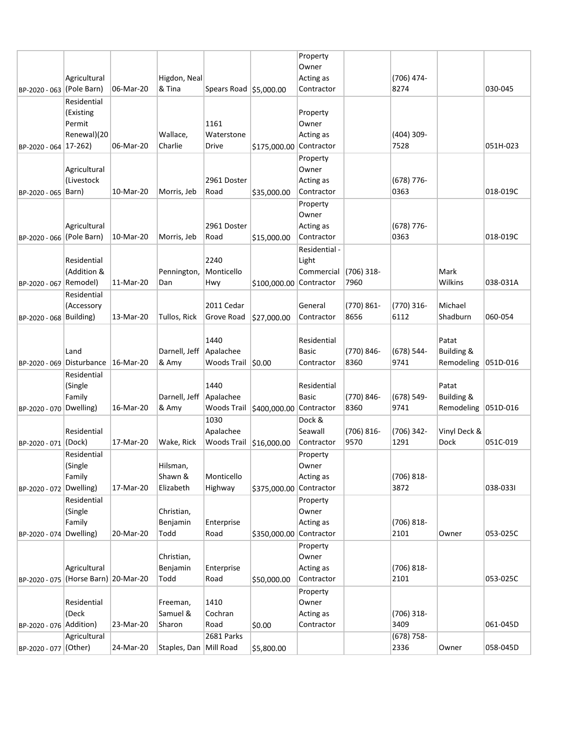|                           |                                      |           |                           |                        |                         | Property      |               |               |                       |          |
|---------------------------|--------------------------------------|-----------|---------------------------|------------------------|-------------------------|---------------|---------------|---------------|-----------------------|----------|
|                           |                                      |           |                           |                        |                         | Owner         |               |               |                       |          |
|                           | Agricultural                         |           | Higdon, Neal              |                        |                         | Acting as     |               | (706) 474-    |                       |          |
| BP-2020 - 063 (Pole Barn) |                                      | 06-Mar-20 | & Tina                    | Spears Road \$5,000.00 |                         | Contractor    |               | 8274          |                       | 030-045  |
|                           | Residential                          |           |                           |                        |                         |               |               |               |                       |          |
|                           | (Existing                            |           |                           |                        |                         | Property      |               |               |                       |          |
|                           | Permit                               |           |                           | 1161                   |                         | Owner         |               |               |                       |          |
|                           | Renewal)(20                          |           | Wallace,                  | Waterstone             |                         | Acting as     |               | $(404)$ 309-  |                       |          |
| BP-2020 - 064 17-262)     |                                      | 06-Mar-20 | Charlie                   | Drive                  | \$175,000.00 Contractor |               |               | 7528          |                       | 051H-023 |
|                           |                                      |           |                           |                        |                         | Property      |               |               |                       |          |
|                           | Agricultural                         |           |                           |                        |                         | Owner         |               |               |                       |          |
|                           | (Livestock                           |           |                           | 2961 Doster            |                         | Acting as     |               | $(678)$ 776-  |                       |          |
| BP-2020 - 065 Barn)       |                                      | 10-Mar-20 | Morris, Jeb               | Road                   | \$35,000.00             | Contractor    |               | 0363          |                       | 018-019C |
|                           |                                      |           |                           |                        |                         | Property      |               |               |                       |          |
|                           |                                      |           |                           |                        |                         | Owner         |               |               |                       |          |
|                           | Agricultural                         |           |                           | 2961 Doster            |                         | Acting as     |               | (678) 776-    |                       |          |
| BP-2020 - 066 (Pole Barn) |                                      | 10-Mar-20 | Morris, Jeb               | Road                   | \$15,000.00             | Contractor    |               | 0363          |                       | 018-019C |
|                           |                                      |           |                           |                        |                         | Residential - |               |               |                       |          |
|                           | Residential                          |           |                           | 2240                   |                         | Light         |               |               |                       |          |
|                           | (Addition &                          |           | Pennington,               | Monticello             |                         | Commercial    | (706) 318-    |               | Mark                  |          |
| BP-2020 - 067 Remodel)    |                                      | 11-Mar-20 | Dan                       | Hwy                    | \$100,000.00 Contractor |               | 7960          |               | Wilkins               | 038-031A |
|                           | Residential                          |           |                           |                        |                         |               |               |               |                       |          |
|                           | (Accessory                           |           |                           | 2011 Cedar             |                         | General       | (770) 861-    | $(770)$ 316-  | Michael               |          |
| BP-2020 - 068 Building)   |                                      | 13-Mar-20 | Tullos, Rick              | Grove Road             | \$27,000.00             | Contractor    | 8656          | 6112          | Shadburn              | 060-054  |
|                           |                                      |           |                           |                        |                         |               |               |               |                       |          |
|                           |                                      |           |                           | 1440                   |                         | Residential   |               |               | Patat                 |          |
|                           | Land                                 |           | Darnell, Jeff   Apalachee |                        |                         | <b>Basic</b>  | (770) 846-    | (678) 544-    | <b>Building &amp;</b> |          |
| BP-2020 - 069 Disturbance |                                      | 16-Mar-20 | & Amy                     | Woods Trail \$0.00     |                         | Contractor    | 8360          | 9741          | Remodeling            | 051D-016 |
|                           | Residential                          |           |                           |                        |                         |               |               |               |                       |          |
|                           | (Single                              |           |                           | 1440                   |                         | Residential   |               |               | Patat                 |          |
|                           | Family                               |           | Darnell, Jeff             | Apalachee              |                         | <b>Basic</b>  | (770) 846-    | $(678) 549 -$ | Building &            |          |
| BP-2020 - 070             | Dwelling)                            | 16-Mar-20 | & Amy                     | Woods Trail            | \$400,000.00 Contractor |               | 8360          | 9741          | Remodeling            | 051D-016 |
|                           |                                      |           |                           | 1030                   |                         | Dock &        |               |               |                       |          |
|                           | Residential                          |           |                           | Apalachee              |                         | Seawall       | $(706) 816 -$ | (706) 342-    | Vinyl Deck &          |          |
| BP-2020 - 071 (Dock)      |                                      | 17-Mar-20 | Wake, Rick                | Woods Trail            | \$16,000.00             | Contractor    | 9570          | 1291          | Dock                  | 051C-019 |
|                           | Residential                          |           |                           |                        |                         | Property      |               |               |                       |          |
|                           | (Single                              |           | Hilsman,                  |                        |                         | Owner         |               |               |                       |          |
|                           | Family                               |           | Shawn &                   | Monticello             |                         | Acting as     |               | (706) 818-    |                       |          |
| BP-2020 - 072             | Dwelling)                            | 17-Mar-20 | Elizabeth                 | Highway                | \$375,000.00 Contractor |               |               | 3872          |                       | 038-0331 |
|                           | Residential                          |           |                           |                        |                         | Property      |               |               |                       |          |
|                           | (Single                              |           | Christian,                |                        |                         | Owner         |               |               |                       |          |
|                           | Family                               |           | Benjamin                  | Enterprise             |                         | Acting as     |               | $(706) 818 -$ |                       |          |
| BP-2020 - 074 Dwelling)   |                                      | 20-Mar-20 | Todd                      | Road                   | \$350,000.00 Contractor |               |               | 2101          | Owner                 | 053-025C |
|                           |                                      |           |                           |                        |                         | Property      |               |               |                       |          |
|                           |                                      |           | Christian,                |                        |                         | Owner         |               |               |                       |          |
|                           | Agricultural                         |           | Benjamin                  | Enterprise             |                         | Acting as     |               | $(706) 818 -$ |                       |          |
|                           | BP-2020 - 075 (Horse Barn) 20-Mar-20 |           | Todd                      | Road                   | \$50,000.00             | Contractor    |               | 2101          |                       | 053-025C |
|                           |                                      |           |                           |                        |                         | Property      |               |               |                       |          |
|                           | Residential                          |           | Freeman,                  | 1410                   |                         | Owner         |               |               |                       |          |
|                           | (Deck                                |           | Samuel &                  | Cochran                |                         | Acting as     |               | (706) 318-    |                       |          |
| BP-2020 - 076 Addition)   |                                      | 23-Mar-20 | Sharon                    | Road                   | \$0.00                  | Contractor    |               | 3409          |                       | 061-045D |
|                           | Agricultural                         |           |                           | 2681 Parks             |                         |               |               | $(678) 758 -$ |                       |          |
| BP-2020 - 077 (Other)     |                                      | 24-Mar-20 | Staples, Dan Mill Road    |                        | \$5,800.00              |               |               | 2336          | Owner                 | 058-045D |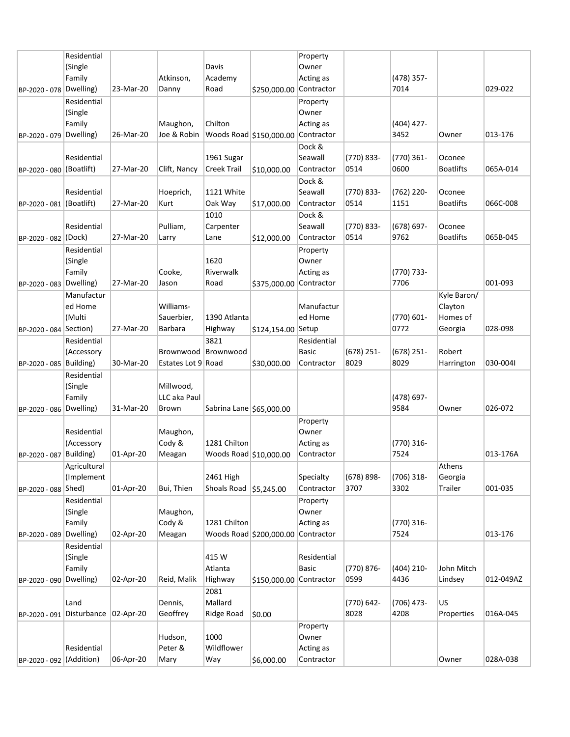|                          | Residential                         |           |                    |                          |                                    | Property    |               |               |                  |           |
|--------------------------|-------------------------------------|-----------|--------------------|--------------------------|------------------------------------|-------------|---------------|---------------|------------------|-----------|
|                          | (Single                             |           |                    | Davis                    |                                    | Owner       |               |               |                  |           |
|                          | Family                              |           | Atkinson,          | Academy                  |                                    | Acting as   |               | (478) 357-    |                  |           |
| BP-2020 - 078            | Dwelling)                           | 23-Mar-20 | Danny              | Road                     | \$250,000.00 Contractor            |             |               | 7014          |                  | 029-022   |
|                          | Residential                         |           |                    |                          |                                    | Property    |               |               |                  |           |
|                          |                                     |           |                    |                          |                                    |             |               |               |                  |           |
|                          | (Single                             |           |                    |                          |                                    | Owner       |               |               |                  |           |
|                          | Family                              |           | Maughon,           | Chilton                  |                                    | Acting as   |               | $(404)$ 427-  |                  |           |
| BP-2020 - 079 Dwelling)  |                                     | 26-Mar-20 | Joe & Robin        |                          | Woods Road \$150,000.00 Contractor |             |               | 3452          | Owner            | 013-176   |
|                          |                                     |           |                    |                          |                                    | Dock &      |               |               |                  |           |
|                          | Residential                         |           |                    | 1961 Sugar               |                                    | Seawall     | (770) 833-    | $(770)$ 361-  | Oconee           |           |
| BP-2020 - 080 (Boatlift) |                                     | 27-Mar-20 | Clift, Nancy       | <b>Creek Trail</b>       | \$10,000.00                        | Contractor  | 0514          | 0600          | <b>Boatlifts</b> | 065A-014  |
|                          |                                     |           |                    |                          |                                    | Dock &      |               |               |                  |           |
|                          | Residential                         |           | Hoeprich,          | 1121 White               |                                    | Seawall     | (770) 833-    | (762) 220-    | Oconee           |           |
| BP-2020 - 081 (Boatlift) |                                     | 27-Mar-20 | Kurt               | Oak Way                  | \$17,000.00                        | Contractor  | 0514          | 1151          | <b>Boatlifts</b> | 066C-008  |
|                          |                                     |           |                    | 1010                     |                                    | Dock &      |               |               |                  |           |
|                          | Residential                         |           | Pulliam,           | Carpenter                |                                    | Seawall     | (770) 833-    | $(678) 697 -$ | Oconee           |           |
| BP-2020 - 082 (Dock)     |                                     | 27-Mar-20 | Larry              | Lane                     | \$12,000.00                        | Contractor  | 0514          | 9762          | <b>Boatlifts</b> | 065B-045  |
|                          | Residential                         |           |                    |                          |                                    | Property    |               |               |                  |           |
|                          | (Single                             |           |                    | 1620                     |                                    | Owner       |               |               |                  |           |
|                          | Family                              |           | Cooke,             | Riverwalk                |                                    | Acting as   |               | (770) 733-    |                  |           |
|                          | Dwelling)                           | 27-Mar-20 | Jason              | Road                     | \$375,000.00 Contractor            |             |               | 7706          |                  | 001-093   |
| BP-2020 - 083            |                                     |           |                    |                          |                                    |             |               |               |                  |           |
|                          | Manufactur                          |           |                    |                          |                                    |             |               |               | Kyle Baron/      |           |
|                          | ed Home                             |           | Williams-          |                          |                                    | Manufactur  |               |               | Clayton          |           |
|                          | (Multi                              |           | Sauerbier,         | 1390 Atlanta             |                                    | ed Home     |               | (770) 601-    | Homes of         |           |
| BP-2020 - 084 Section)   |                                     | 27-Mar-20 | <b>Barbara</b>     | Highway                  | \$124,154.00 Setup                 |             |               | 0772          | Georgia          | 028-098   |
|                          | Residential                         |           |                    | 3821                     |                                    | Residential |               |               |                  |           |
|                          | (Accessory                          |           | Brownwood          | Brownwood                |                                    | Basic       | $(678)$ 251-  | $(678)$ 251-  | Robert           |           |
| BP-2020 - 085            | Building)                           | 30-Mar-20 | Estates Lot 9 Road |                          | \$30,000.00                        | Contractor  | 8029          | 8029          | Harrington       | 030-0041  |
|                          |                                     |           |                    |                          |                                    |             |               |               |                  |           |
|                          | Residential                         |           |                    |                          |                                    |             |               |               |                  |           |
|                          | (Single                             |           | Millwood,          |                          |                                    |             |               |               |                  |           |
|                          | Family                              |           | LLC aka Paul       |                          |                                    |             |               | (478) 697-    |                  |           |
| BP-2020 - 086            | Dwelling)                           | 31-Mar-20 | Brown              | Sabrina Lane \$65,000.00 |                                    |             |               | 9584          | Owner            | 026-072   |
|                          |                                     |           |                    |                          |                                    | Property    |               |               |                  |           |
|                          | Residential                         |           |                    |                          |                                    | Owner       |               |               |                  |           |
|                          |                                     |           | Maughon,           |                          |                                    |             |               |               |                  |           |
|                          | (Accessory                          |           | Cody &             | 1281 Chilton             |                                    | Acting as   |               | $(770)$ 316-  |                  | 013-176A  |
| BP-2020 - 087            | <b>Building</b> )                   | 01-Apr-20 | Meagan             | Woods Road \$10,000.00   |                                    | Contractor  |               | 7524          |                  |           |
|                          | Agricultural                        |           |                    |                          |                                    |             |               |               | Athens           |           |
|                          | (Implement                          |           |                    | 2461 High                |                                    | Specialty   | $(678) 898 -$ | (706) 318-    | Georgia          |           |
| BP-2020 - 088 Shed)      |                                     | 01-Apr-20 | Bui, Thien         | Shoals Road 55,245.00    |                                    | Contractor  | 3707          | 3302          | Trailer          | 001-035   |
|                          | Residential                         |           |                    |                          |                                    | Property    |               |               |                  |           |
|                          | (Single                             |           | Maughon,           |                          |                                    | Owner       |               |               |                  |           |
|                          | Family                              |           | Cody &             | 1281 Chilton             |                                    | Acting as   |               | (770) 316-    |                  |           |
| BP-2020 - 089            | Dwelling)                           | 02-Apr-20 | Meagan             |                          | Woods Road \$200,000.00 Contractor |             |               | 7524          |                  | 013-176   |
|                          | Residential                         |           |                    |                          |                                    |             |               |               |                  |           |
|                          | (Single                             |           |                    | 415 W                    |                                    | Residential |               |               |                  |           |
|                          | Family                              |           |                    | Atlanta                  |                                    | Basic       | (770) 876-    | $(404)$ 210-  | John Mitch       |           |
| BP-2020 - 090 Dwelling)  |                                     | 02-Apr-20 | Reid, Malik        | Highway                  | \$150,000.00 Contractor            |             | 0599          | 4436          | Lindsey          | 012-049AZ |
|                          |                                     |           |                    | 2081                     |                                    |             |               |               |                  |           |
|                          | Land                                |           | Dennis,            | Mallard                  |                                    |             | (770) 642-    | $(706)$ 473-  | US               |           |
|                          | BP-2020 - 091 Disturbance 02-Apr-20 |           | Geoffrey           | Ridge Road               | \$0.00                             |             | 8028          | 4208          | Properties       | 016A-045  |
|                          |                                     |           |                    |                          |                                    | Property    |               |               |                  |           |
|                          |                                     |           | Hudson,            | 1000                     |                                    | Owner       |               |               |                  |           |
|                          | Residential                         |           | Peter &            | Wildflower               |                                    | Acting as   |               |               |                  |           |
| BP-2020 - 092 (Addition) |                                     | 06-Apr-20 | Mary               | Way                      | \$6,000.00                         | Contractor  |               |               | Owner            | 028A-038  |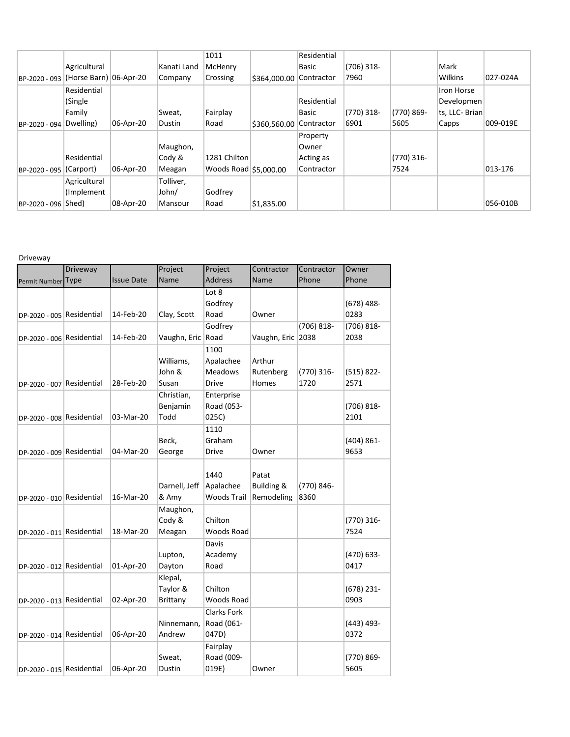|               |                        |           |             | 1011                    |                         | Residential |              |               |                |          |
|---------------|------------------------|-----------|-------------|-------------------------|-------------------------|-------------|--------------|---------------|----------------|----------|
|               | Agricultural           |           | Kanati Land | McHenry                 |                         | Basic       | $(706)$ 318- |               | Mark           |          |
| BP-2020 - 093 | (Horse Barn) 06-Apr-20 |           | Company     | Crossing                | \$364,000.00 Contractor |             | 7960         |               | Wilkins        | 027-024A |
|               | Residential            |           |             |                         |                         |             |              |               | Iron Horse     |          |
|               | (Single                |           |             |                         |                         | Residential |              |               | Developmen     |          |
|               | Family                 |           | Sweat,      | Fairplay                |                         | Basic       | $(770)$ 318- | $(770) 869 -$ | ts, LLC- Brian |          |
| BP-2020 - 094 | Dwelling)              | 06-Apr-20 | Dustin      | Road                    | \$360,560.00            | Contractor  | 6901         | 5605          | Capps          | 009-019E |
|               |                        |           |             |                         |                         | Property    |              |               |                |          |
|               |                        |           | Maughon,    |                         |                         | Owner       |              |               |                |          |
|               | Residential            |           | Cody &      | 1281 Chilton            |                         | Acting as   |              | $(770)$ 316-  |                |          |
| BP-2020 - 095 | (Carport)              | 06-Apr-20 | Meagan      | Woods Road $ $5,000.00$ |                         | Contractor  |              | 7524          |                | 013-176  |
|               | Agricultural           |           | Tolliver,   |                         |                         |             |              |               |                |          |
|               | (Implement)            |           | John/       | Godfrey                 |                         |             |              |               |                |          |
| BP-2020 - 096 | Shed)                  | 08-Apr-20 | Mansour     | Road                    | \$1,835.00              |             |              |               |                | 056-010B |

## Driveway

|                           | Driveway |                   | Project           | Project            | Contractor        | Contractor    | Owner         |
|---------------------------|----------|-------------------|-------------------|--------------------|-------------------|---------------|---------------|
| Permit Number             | Type     | <b>Issue Date</b> | Name              | <b>Address</b>     | Name              | Phone         | Phone         |
|                           |          |                   |                   | Lot 8              |                   |               |               |
|                           |          |                   |                   | Godfrey            |                   |               | $(678)$ 488-  |
| DP-2020 - 005 Residential |          | 14-Feb-20         | Clay, Scott       | Road               | Owner             |               | 0283          |
|                           |          |                   |                   | Godfrey            |                   | $(706) 818 -$ | (706) 818-    |
| DP-2020 - 006 Residential |          | 14-Feb-20         | Vaughn, Eric Road |                    | Vaughn, Eric 2038 |               | 2038          |
|                           |          |                   |                   | 1100               |                   |               |               |
|                           |          |                   |                   |                    |                   |               |               |
|                           |          |                   | Williams,         | Apalachee          | Arthur            |               |               |
|                           |          |                   | John &            | <b>Meadows</b>     | Rutenberg         | $(770)$ 316-  | $(515) 822 -$ |
| DP-2020 - 007 Residential |          | 28-Feb-20         | Susan             | <b>Drive</b>       | Homes             | 1720          | 2571          |
|                           |          |                   | Christian,        | Enterprise         |                   |               |               |
|                           |          |                   | Benjamin          | Road (053-         |                   |               | $(706) 818 -$ |
| DP-2020 - 008 Residential |          | 03-Mar-20         | Todd              | 025C)              |                   |               | 2101          |
|                           |          |                   |                   | 1110               |                   |               |               |
|                           |          |                   | Beck,             | Graham             |                   |               | $(404) 861 -$ |
| DP-2020 - 009 Residential |          | 04-Mar-20         | George            | Drive              | Owner             |               | 9653          |
|                           |          |                   |                   |                    |                   |               |               |
|                           |          |                   |                   |                    |                   |               |               |
|                           |          |                   |                   | 1440               | Patat             |               |               |
|                           |          |                   | Darnell, Jeff     | Apalachee          | Building &        | (770) 846-    |               |
| DP-2020 - 010 Residential |          | 16-Mar-20         | & Amy             | Woods Trail        | Remodeling        | 8360          |               |
|                           |          |                   | Maughon,          |                    |                   |               |               |
|                           |          |                   | Cody &            | Chilton            |                   |               | (770) 316-    |
| DP-2020 - 011 Residential |          | 18-Mar-20         | Meagan            | Woods Road         |                   |               | 7524          |
|                           |          |                   |                   | Davis              |                   |               |               |
|                           |          |                   | Lupton,           | Academy            |                   |               | $(470) 633 -$ |
| DP-2020 - 012 Residential |          | 01-Apr-20         | Dayton            | Road               |                   |               | 0417          |
|                           |          |                   | Klepal,           |                    |                   |               |               |
|                           |          |                   |                   | Chilton            |                   |               |               |
|                           |          |                   | Taylor &          |                    |                   |               | $(678)$ 231-  |
| DP-2020 - 013 Residential |          | 02-Apr-20         | Brittany          | Woods Road         |                   |               | 0903          |
|                           |          |                   |                   | <b>Clarks Fork</b> |                   |               |               |
|                           |          |                   | Ninnemann,        | Road (061-         |                   |               | (443) 493-    |
| DP-2020 - 014 Residential |          | 06-Apr-20         | Andrew            | 047D)              |                   |               | 0372          |
|                           |          |                   |                   | Fairplay           |                   |               |               |
|                           |          |                   | Sweat,            | Road (009-         |                   |               | (770) 869-    |
| DP-2020 - 015 Residential |          | 06-Apr-20         | Dustin            | 019E)              | Owner             |               | 5605          |
|                           |          |                   |                   |                    |                   |               |               |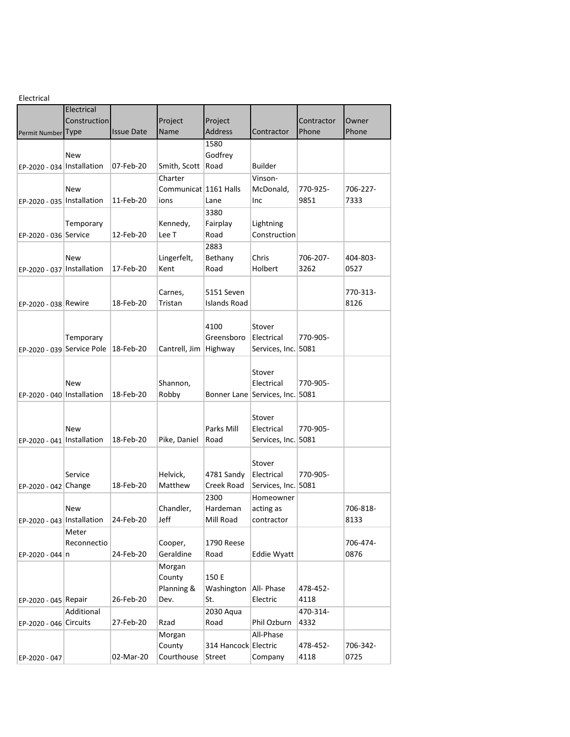| Electrical                   |                            |                   |                         |                      |                                 |            |          |
|------------------------------|----------------------------|-------------------|-------------------------|----------------------|---------------------------------|------------|----------|
|                              | Electrical                 |                   |                         |                      |                                 |            |          |
|                              | Construction               |                   | Project                 | Project              |                                 | Contractor | Owner    |
| Permit Number Type           |                            | <b>Issue Date</b> | Name                    | <b>Address</b>       | Contractor                      | Phone      | Phone    |
|                              |                            |                   |                         | 1580                 |                                 |            |          |
|                              | <b>New</b>                 |                   |                         | Godfrey              |                                 |            |          |
| EP-2020 - 034   Installation |                            | 07-Feb-20         | Smith, Scott            | Road                 | <b>Builder</b>                  |            |          |
|                              |                            |                   |                         |                      |                                 |            |          |
|                              |                            |                   | Charter                 |                      | Vinson-                         |            |          |
|                              | New                        |                   | Communicat   1161 Halls |                      | McDonald,                       | 770-925-   | 706-227- |
| EP-2020 - 035   Installation |                            | 11-Feb-20         | ions                    | Lane                 | Inc                             | 9851       | 7333     |
|                              |                            |                   |                         | 3380                 |                                 |            |          |
|                              | Temporary                  |                   | Kennedy,                | Fairplay             | Lightning                       |            |          |
| EP-2020 - 036 Service        |                            | 12-Feb-20         | Lee T                   | Road                 | Construction                    |            |          |
|                              |                            |                   |                         | 2883                 |                                 |            |          |
|                              | New                        |                   | Lingerfelt,             | Bethany              | Chris                           | 706-207-   | 404-803- |
| EP-2020 - 037   Installation |                            | 17-Feb-20         | Kent                    | Road                 | Holbert                         | 3262       | 0527     |
|                              |                            |                   |                         |                      |                                 |            |          |
|                              |                            |                   | Carnes,                 | 5151 Seven           |                                 |            | 770-313- |
|                              |                            | 18-Feb-20         | Tristan                 | Islands Road         |                                 |            | 8126     |
| EP-2020 - 038 Rewire         |                            |                   |                         |                      |                                 |            |          |
|                              |                            |                   |                         |                      |                                 |            |          |
|                              |                            |                   |                         | 4100                 | Stover                          |            |          |
|                              | Temporary                  |                   |                         | Greensboro           | Electrical                      | 770-905-   |          |
|                              | EP-2020 - 039 Service Pole | 18-Feb-20         | Cantrell, Jim   Highway |                      | Services, Inc. 5081             |            |          |
|                              |                            |                   |                         |                      |                                 |            |          |
|                              |                            |                   |                         |                      | Stover                          |            |          |
|                              | New                        |                   | Shannon,                |                      | Electrical                      | 770-905-   |          |
| EP-2020 - 040 Installation   |                            | 18-Feb-20         | Robby                   |                      | Bonner Lane Services, Inc. 5081 |            |          |
|                              |                            |                   |                         |                      |                                 |            |          |
|                              |                            |                   |                         |                      | Stover                          |            |          |
|                              | New                        |                   |                         | Parks Mill           | Electrical                      | 770-905-   |          |
| EP-2020 - 041   Installation |                            | 18-Feb-20         | Pike, Daniel            | Road                 | Services, Inc. 5081             |            |          |
|                              |                            |                   |                         |                      |                                 |            |          |
|                              |                            |                   |                         |                      | Stover                          |            |          |
|                              | Service                    |                   | Helvick,                | 4781 Sandy           | Electrical                      | 770-905-   |          |
|                              |                            | 18-Feb-20         | Matthew                 | Creek Road           |                                 |            |          |
| EP-2020 - 042 Change         |                            |                   |                         |                      | Services, Inc. 5081             |            |          |
|                              |                            |                   |                         | 2300                 | Homeowner                       |            |          |
|                              | New                        |                   | Chandler,               | Hardeman             | acting as                       |            | 706-818- |
| EP-2020 - 043   Installation |                            | 24-Feb-20         | Jeff                    | Mill Road            | contractor                      |            | 8133     |
|                              | Meter                      |                   |                         |                      |                                 |            |          |
|                              | Reconnectio                |                   | Cooper,                 | 1790 Reese           |                                 |            | 706-474- |
| EP-2020 - 044 n              |                            | 24-Feb-20         | Geraldine               | Road                 | <b>Eddie Wyatt</b>              |            | 0876     |
|                              |                            |                   | Morgan                  |                      |                                 |            |          |
|                              |                            |                   | County                  | 150 E                |                                 |            |          |
|                              |                            |                   | Planning &              | Washington           | All- Phase                      | 478-452-   |          |
| EP-2020 - 045 Repair         |                            | 26-Feb-20         | Dev.                    | St.                  | Electric                        | 4118       |          |
|                              | Additional                 |                   |                         | 2030 Aqua            |                                 | 470-314-   |          |
| EP-2020 - 046 Circuits       |                            | 27-Feb-20         | Rzad                    | Road                 | Phil Ozburn                     | 4332       |          |
|                              |                            |                   | Morgan                  |                      | All-Phase                       |            |          |
|                              |                            |                   | County                  | 314 Hancock Electric |                                 | 478-452-   | 706-342- |
|                              |                            | 02-Mar-20         | Courthouse              | Street               | Company                         | 4118       | 0725     |
| EP-2020 - 047                |                            |                   |                         |                      |                                 |            |          |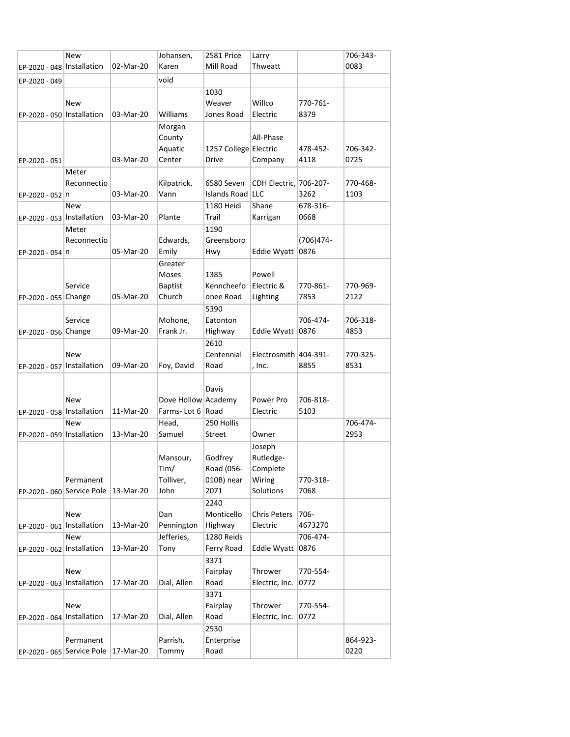|                              | <b>New</b>                             |           | Johansen,           | 2581 Price            | Larry                  |              | 706-343- |
|------------------------------|----------------------------------------|-----------|---------------------|-----------------------|------------------------|--------------|----------|
| EP-2020 - 048   Installation |                                        | 02-Mar-20 | Karen               | Mill Road             | Thweatt                |              | 0083     |
| EP-2020 - 049                |                                        |           | void                |                       |                        |              |          |
|                              |                                        |           |                     | 1030                  |                        |              |          |
|                              | New                                    |           |                     | Weaver                | Willco                 | 770-761-     |          |
| EP-2020 - 050 Installation   |                                        | 03-Mar-20 | Williams            | Jones Road            | Electric               | 8379         |          |
|                              |                                        |           | Morgan              |                       |                        |              |          |
|                              |                                        |           | County              |                       | All-Phase              |              |          |
|                              |                                        |           | Aquatic             | 1257 College Electric |                        | 478-452-     | 706-342- |
| EP-2020 - 051                |                                        | 03-Mar-20 | Center              | Drive                 | Company                | 4118         | 0725     |
|                              | Meter                                  |           |                     |                       |                        |              |          |
|                              | Reconnectio                            |           | Kilpatrick,         | 6580 Seven            | CDH Electric, 706-207- |              | 770-468- |
| EP-2020 - 052 n              |                                        | 03-Mar-20 | Vann                | Islands Road LLC      |                        | 3262         | 1103     |
|                              | <b>New</b>                             |           |                     | 1180 Heidi            | Shane                  | 678-316-     |          |
| EP-2020 - 053   Installation |                                        | 03-Mar-20 | Plante              | Trail                 | Karrigan               | 0668         |          |
|                              | Meter                                  |           |                     | 1190                  |                        |              |          |
|                              | Reconnectio                            |           | Edwards,            | Greensboro            |                        | $(706)474 -$ |          |
| EP-2020 - 054 n              |                                        | 05-Mar-20 | Emily               | Hwy                   | Eddie Wyatt            | 0876         |          |
|                              |                                        |           | Greater             |                       |                        |              |          |
|                              |                                        |           | Moses               | 1385                  | Powell                 |              |          |
|                              | Service                                |           | <b>Baptist</b>      | Kenncheefo            | Electric &             | 770-861-     | 770-969- |
| EP-2020 - 055 Change         |                                        | 05-Mar-20 | Church              | onee Road             | Lighting               | 7853         | 2122     |
|                              |                                        |           |                     | 5390                  |                        |              |          |
|                              | Service                                |           | Mohone,             | Eatonton              |                        | 706-474-     | 706-318- |
| EP-2020 - 056 Change         |                                        | 09-Mar-20 | Frank Jr.           | Highway               | Eddie Wyatt            | 0876         | 4853     |
|                              |                                        |           |                     | 2610                  |                        |              |          |
|                              | <b>New</b>                             |           |                     | Centennial            | Electrosmith 404-391-  |              | 770-325- |
| EP-2020 - 057 Installation   |                                        | 09-Mar-20 | Foy, David          | Road                  | , Inc.                 | 8855         | 8531     |
|                              |                                        |           |                     |                       |                        |              |          |
|                              |                                        |           |                     | Davis                 |                        |              |          |
|                              | <b>New</b>                             |           | Dove Hollow Academy |                       | Power Pro              | 706-818-     |          |
| EP-2020 - 058 Installation   |                                        | 11-Mar-20 | Farms-Lot 6   Road  |                       | Electric               | 5103         |          |
|                              | <b>New</b>                             |           | Head,               | 250 Hollis            |                        |              | 706-474- |
| EP-2020 - 059 Installation   |                                        | 13-Mar-20 | Samuel              | Street                | Owner                  |              | 2953     |
|                              |                                        |           |                     |                       | Joseph                 |              |          |
|                              |                                        |           | Mansour,            | Godfrey               | Rutledge-              |              |          |
|                              |                                        |           | Tim/                | Road (056-            | Complete               |              |          |
|                              | Permanent                              |           | Tolliver,           | 010B) near            | Wiring                 | 770-318-     |          |
| EP-2020 - 060 Service Pole   |                                        | 13-Mar-20 | John                | 2071                  | Solutions              | 7068         |          |
|                              |                                        |           |                     | 2240                  |                        |              |          |
|                              | New                                    |           | Dan                 | Monticello            | <b>Chris Peters</b>    | 706-         |          |
| EP-2020 - 061   Installation |                                        | 13-Mar-20 | Pennington          | Highway               | Electric               | 4673270      |          |
|                              | New                                    |           | Jefferies,          | 1280 Reids            |                        | 706-474-     |          |
| EP-2020 - 062   Installation |                                        | 13-Mar-20 | Tony                | Ferry Road            | <b>Eddie Wyatt</b>     | 0876         |          |
|                              |                                        |           |                     | 3371                  |                        |              |          |
|                              | New                                    |           |                     | Fairplay              | Thrower                | 770-554-     |          |
| EP-2020 - 063 Installation   |                                        | 17-Mar-20 | Dial, Allen         | Road                  | Electric, Inc.         | 0772         |          |
|                              |                                        |           |                     | 3371                  |                        |              |          |
|                              | New                                    |           |                     | Fairplay              | Thrower                | 770-554-     |          |
| EP-2020 - 064 Installation   |                                        | 17-Mar-20 | Dial, Allen         | Road                  | Electric, Inc.         | 0772         |          |
|                              |                                        |           |                     | 2530                  |                        |              |          |
|                              | Permanent                              |           | Parrish,            | Enterprise            |                        |              | 864-923- |
|                              | EP-2020 - 065 Service Pole   17-Mar-20 |           | Tommy               | Road                  |                        |              | 0220     |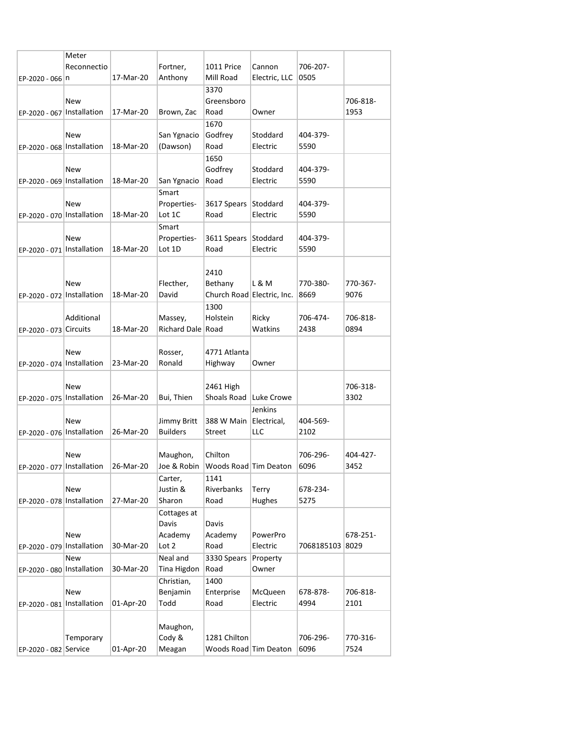|                              | Meter                                    |           |                        |                                       |                   |                 |          |
|------------------------------|------------------------------------------|-----------|------------------------|---------------------------------------|-------------------|-----------------|----------|
|                              | Reconnectio                              |           | Fortner,               | 1011 Price                            | Cannon            | 706-207-        |          |
| EP-2020 - 066 n              |                                          | 17-Mar-20 | Anthony                | Mill Road                             | Electric, LLC     | 0505            |          |
|                              |                                          |           |                        | 3370                                  |                   |                 |          |
|                              | New                                      |           |                        | Greensboro                            |                   |                 | 706-818- |
| EP-2020 - 067   Installation |                                          | 17-Mar-20 | Brown, Zac             | Road                                  | Owner             |                 | 1953     |
|                              |                                          |           |                        | 1670                                  |                   |                 |          |
|                              | New                                      |           | San Ygnacio            | Godfrey                               | Stoddard          | 404-379-        |          |
| EP-2020 - 068   Installation |                                          | 18-Mar-20 | (Dawson)               | Road                                  | Electric          | 5590            |          |
|                              |                                          |           |                        | 1650                                  |                   |                 |          |
|                              | New                                      |           |                        | Godfrey                               | Stoddard          | 404-379-        |          |
| EP-2020 - 069   Installation |                                          | 18-Mar-20 | San Ygnacio            | Road                                  | Electric          | 5590            |          |
|                              |                                          |           | Smart                  |                                       |                   |                 |          |
|                              | New                                      |           | Properties-            | 3617 Spears Stoddard                  |                   | 404-379-        |          |
| EP-2020 - 070 Installation   |                                          | 18-Mar-20 | Lot 1C                 | Road                                  | Electric          | 5590            |          |
|                              |                                          |           | Smart                  |                                       |                   |                 |          |
|                              | New                                      |           | Properties-            | 3611 Spears Stoddard                  |                   | 404-379-        |          |
| EP-2020 - 071   Installation |                                          | 18-Mar-20 | Lot 1D                 | Road                                  | Electric          | 5590            |          |
|                              |                                          |           |                        |                                       |                   |                 |          |
|                              |                                          |           |                        | 2410                                  |                   |                 |          |
|                              | New                                      |           | Flecther,              | Bethany                               | L & M             | 770-380-        | 770-367- |
| EP-2020 - 072   Installation |                                          | 18-Mar-20 | David                  | Church Road Electric, Inc.            |                   | 8669            | 9076     |
|                              |                                          |           |                        | 1300                                  |                   |                 |          |
|                              | Additional                               |           | Massey,                | Holstein                              | Ricky             | 706-474-        | 706-818- |
| EP-2020 - 073 Circuits       |                                          | 18-Mar-20 | Richard Dale Road      |                                       | Watkins           | 2438            | 0894     |
|                              |                                          |           |                        |                                       |                   |                 |          |
|                              | <b>New</b>                               |           | Rosser,                | 4771 Atlanta                          |                   |                 |          |
| EP-2020 - 074 Installation   |                                          | 23-Mar-20 | Ronald                 | Highway                               | Owner             |                 |          |
|                              |                                          |           |                        |                                       |                   |                 |          |
|                              | <b>New</b>                               |           |                        | 2461 High                             |                   |                 | 706-318- |
| EP-2020 - 075   Installation |                                          | 26-Mar-20 | Bui, Thien             | Shoals Road Luke Crowe                |                   |                 | 3302     |
|                              |                                          |           |                        |                                       | Jenkins           |                 |          |
|                              | <b>New</b>                               |           | Jimmy Britt            | 388 W Main Electrical,                |                   | 404-569-        |          |
| EP-2020 - 076 Installation   |                                          | 26-Mar-20 | <b>Builders</b>        | Street                                | LLC               | 2102            |          |
|                              |                                          |           |                        |                                       |                   |                 |          |
|                              | New                                      |           | Maughon,               | Chilton                               |                   | 706-296-        | 404-427- |
|                              | EP-2020 - 077   Installation   26-Mar-20 |           |                        | Joe & Robin   Woods Road   Tim Deaton |                   | 6096            | 3452     |
|                              |                                          |           | Carter,                | 1141                                  |                   |                 |          |
|                              | New                                      |           | Justin &               | Riverbanks                            | Terry             | 678-234-        |          |
| EP-2020 - 078 Installation   |                                          | 27-Mar-20 | Sharon                 | Road                                  | Hughes            | 5275            |          |
|                              |                                          |           |                        |                                       |                   |                 |          |
|                              |                                          |           | Cottages at            |                                       |                   |                 |          |
|                              | <b>New</b>                               |           | Davis<br>Academy       | Davis<br>Academy                      | PowerPro          |                 | 678-251- |
|                              |                                          | 30-Mar-20 | Lot 2                  | Road                                  | Electric          | 7068185103 8029 |          |
| EP-2020 - 079   Installation |                                          |           |                        | 3330 Spears                           |                   |                 |          |
|                              | New                                      | 30-Mar-20 | Neal and               | Road                                  | Property<br>Owner |                 |          |
| EP-2020 - 080 Installation   |                                          |           | Tina Higdon            |                                       |                   |                 |          |
|                              | New                                      |           | Christian,<br>Benjamin | 1400                                  | McQueen           | 678-878-        | 706-818- |
|                              |                                          |           |                        | Enterprise                            |                   |                 |          |
| EP-2020 - 081   Installation |                                          | 01-Apr-20 | Todd                   | Road                                  | Electric          | 4994            | 2101     |
|                              |                                          |           |                        |                                       |                   |                 |          |
|                              |                                          |           | Maughon,               | 1281 Chilton                          |                   |                 |          |
|                              | Temporary                                |           | Cody &                 |                                       |                   | 706-296-        | 770-316- |
| EP-2020 - 082 Service        |                                          | 01-Apr-20 | Meagan                 | Woods Road Tim Deaton                 |                   | 6096            | 7524     |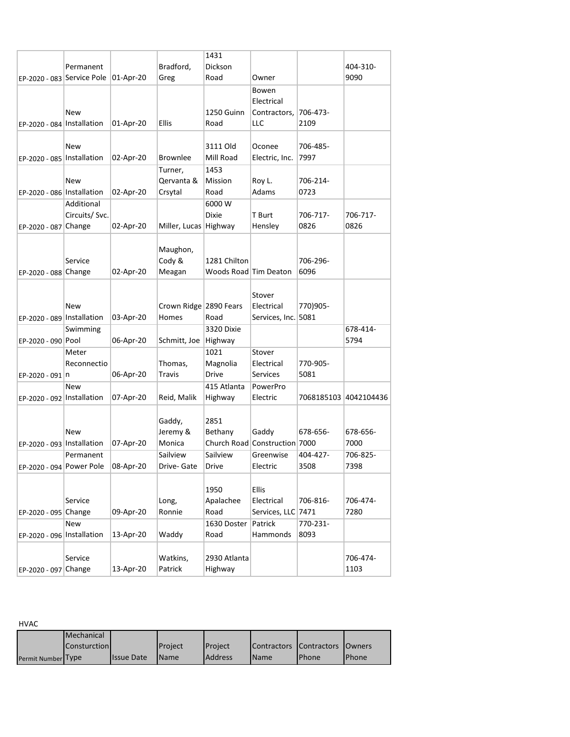| Bradford,<br>Dickson<br>404-310-<br>Permanent<br>01-Apr-20<br>9090<br>EP-2020 - 083 Service Pole<br>Greg<br>Road<br>Owner<br>Bowen<br>Electrical<br>1250 Guinn<br>706-473-<br>New<br>Contractors,<br>LLC<br>01-Apr-20<br><b>Ellis</b><br>Road<br>2109<br>EP-2020 - 084   Installation<br>3111 Old<br>706-485-<br>New<br>Oconee<br>7997<br>EP-2020 - 085   Installation<br>02-Apr-20<br><b>Brownlee</b><br>Mill Road<br>Electric, Inc.<br>1453<br>Turner,<br>Mission<br>New<br>Qervanta &<br>Roy L.<br>706-214-<br>0723<br>Crsytal<br>Adams<br>EP-2020 - 086 Installation<br>02-Apr-20<br>Road<br>6000 W<br>Additional<br><b>Dixie</b><br>Circuits/ Svc.<br>T Burt<br>706-717-<br>706-717-<br>0826<br>0826<br>Miller, Lucas Highway<br>Hensley<br>EP-2020 - 087 Change<br>02-Apr-20<br>Maughon,<br>1281 Chilton<br>Cody &<br>706-296-<br>Service |
|-------------------------------------------------------------------------------------------------------------------------------------------------------------------------------------------------------------------------------------------------------------------------------------------------------------------------------------------------------------------------------------------------------------------------------------------------------------------------------------------------------------------------------------------------------------------------------------------------------------------------------------------------------------------------------------------------------------------------------------------------------------------------------------------------------------------------------------------------|
|                                                                                                                                                                                                                                                                                                                                                                                                                                                                                                                                                                                                                                                                                                                                                                                                                                                 |
|                                                                                                                                                                                                                                                                                                                                                                                                                                                                                                                                                                                                                                                                                                                                                                                                                                                 |
|                                                                                                                                                                                                                                                                                                                                                                                                                                                                                                                                                                                                                                                                                                                                                                                                                                                 |
|                                                                                                                                                                                                                                                                                                                                                                                                                                                                                                                                                                                                                                                                                                                                                                                                                                                 |
|                                                                                                                                                                                                                                                                                                                                                                                                                                                                                                                                                                                                                                                                                                                                                                                                                                                 |
|                                                                                                                                                                                                                                                                                                                                                                                                                                                                                                                                                                                                                                                                                                                                                                                                                                                 |
|                                                                                                                                                                                                                                                                                                                                                                                                                                                                                                                                                                                                                                                                                                                                                                                                                                                 |
|                                                                                                                                                                                                                                                                                                                                                                                                                                                                                                                                                                                                                                                                                                                                                                                                                                                 |
|                                                                                                                                                                                                                                                                                                                                                                                                                                                                                                                                                                                                                                                                                                                                                                                                                                                 |
|                                                                                                                                                                                                                                                                                                                                                                                                                                                                                                                                                                                                                                                                                                                                                                                                                                                 |
|                                                                                                                                                                                                                                                                                                                                                                                                                                                                                                                                                                                                                                                                                                                                                                                                                                                 |
|                                                                                                                                                                                                                                                                                                                                                                                                                                                                                                                                                                                                                                                                                                                                                                                                                                                 |
|                                                                                                                                                                                                                                                                                                                                                                                                                                                                                                                                                                                                                                                                                                                                                                                                                                                 |
|                                                                                                                                                                                                                                                                                                                                                                                                                                                                                                                                                                                                                                                                                                                                                                                                                                                 |
|                                                                                                                                                                                                                                                                                                                                                                                                                                                                                                                                                                                                                                                                                                                                                                                                                                                 |
|                                                                                                                                                                                                                                                                                                                                                                                                                                                                                                                                                                                                                                                                                                                                                                                                                                                 |
|                                                                                                                                                                                                                                                                                                                                                                                                                                                                                                                                                                                                                                                                                                                                                                                                                                                 |
|                                                                                                                                                                                                                                                                                                                                                                                                                                                                                                                                                                                                                                                                                                                                                                                                                                                 |
| 6096<br>EP-2020 - 088 Change<br>02-Apr-20<br>Meagan<br>Woods Road Tim Deaton                                                                                                                                                                                                                                                                                                                                                                                                                                                                                                                                                                                                                                                                                                                                                                    |
|                                                                                                                                                                                                                                                                                                                                                                                                                                                                                                                                                                                                                                                                                                                                                                                                                                                 |
|                                                                                                                                                                                                                                                                                                                                                                                                                                                                                                                                                                                                                                                                                                                                                                                                                                                 |
| Stover                                                                                                                                                                                                                                                                                                                                                                                                                                                                                                                                                                                                                                                                                                                                                                                                                                          |
| Crown Ridge 2890 Fears<br>770)905-<br>New<br>Electrical                                                                                                                                                                                                                                                                                                                                                                                                                                                                                                                                                                                                                                                                                                                                                                                         |
| Road<br>5081<br>EP-2020 - 089   Installation<br>03-Apr-20<br>Homes<br>Services, Inc.                                                                                                                                                                                                                                                                                                                                                                                                                                                                                                                                                                                                                                                                                                                                                            |
| Swimming<br>3320 Dixie<br>678-414-                                                                                                                                                                                                                                                                                                                                                                                                                                                                                                                                                                                                                                                                                                                                                                                                              |
| 06-Apr-20<br>5794<br>EP-2020 - 090 Pool<br>Schmitt, Joe<br>Highway                                                                                                                                                                                                                                                                                                                                                                                                                                                                                                                                                                                                                                                                                                                                                                              |
| 1021<br>Stover<br>Meter                                                                                                                                                                                                                                                                                                                                                                                                                                                                                                                                                                                                                                                                                                                                                                                                                         |
| Thomas,<br>Magnolia<br>770-905-<br>Reconnectio<br>Electrical                                                                                                                                                                                                                                                                                                                                                                                                                                                                                                                                                                                                                                                                                                                                                                                    |
| <b>Drive</b><br>5081<br>06-Apr-20<br>Travis<br>Services<br>EP-2020 - 091 n                                                                                                                                                                                                                                                                                                                                                                                                                                                                                                                                                                                                                                                                                                                                                                      |
| 415 Atlanta<br>PowerPro<br>New                                                                                                                                                                                                                                                                                                                                                                                                                                                                                                                                                                                                                                                                                                                                                                                                                  |
| EP-2020 - 092   Installation<br>07-Apr-20<br>Reid, Malik<br>Highway<br>Electric<br>7068185103 4042104436                                                                                                                                                                                                                                                                                                                                                                                                                                                                                                                                                                                                                                                                                                                                        |
|                                                                                                                                                                                                                                                                                                                                                                                                                                                                                                                                                                                                                                                                                                                                                                                                                                                 |
| 2851<br>Gaddy,                                                                                                                                                                                                                                                                                                                                                                                                                                                                                                                                                                                                                                                                                                                                                                                                                                  |
| Bethany<br>Gaddy<br>678-656-<br>678-656-<br>New<br>Jeremy &                                                                                                                                                                                                                                                                                                                                                                                                                                                                                                                                                                                                                                                                                                                                                                                     |
| Church Road Construction 7000<br>7000<br>EP-2020 - 093 Installation<br>07-Apr-20<br>Monica                                                                                                                                                                                                                                                                                                                                                                                                                                                                                                                                                                                                                                                                                                                                                      |
| 404-427-<br>706-825-<br>Sailview<br>Sailview<br>Permanent<br>Greenwise                                                                                                                                                                                                                                                                                                                                                                                                                                                                                                                                                                                                                                                                                                                                                                          |
| 3508<br>7398<br>EP-2020 - 094 Power Pole<br>08-Apr-20<br>Drive<br>Electric<br>Drive- Gate                                                                                                                                                                                                                                                                                                                                                                                                                                                                                                                                                                                                                                                                                                                                                       |
|                                                                                                                                                                                                                                                                                                                                                                                                                                                                                                                                                                                                                                                                                                                                                                                                                                                 |
| Ellis<br>1950                                                                                                                                                                                                                                                                                                                                                                                                                                                                                                                                                                                                                                                                                                                                                                                                                                   |
| 706-474-<br>Service<br>Apalachee<br>Electrical<br>706-816-<br>Long,                                                                                                                                                                                                                                                                                                                                                                                                                                                                                                                                                                                                                                                                                                                                                                             |
| Services, LLC 7471<br>7280<br>09-Apr-20<br>Ronnie<br>Road<br>EP-2020 - 095 Change                                                                                                                                                                                                                                                                                                                                                                                                                                                                                                                                                                                                                                                                                                                                                               |
| 1630 Doster<br>Patrick<br>770-231-<br>New                                                                                                                                                                                                                                                                                                                                                                                                                                                                                                                                                                                                                                                                                                                                                                                                       |
| 8093<br>EP-2020 - 096 Installation<br>13-Apr-20<br>Waddy<br>Road<br>Hammonds                                                                                                                                                                                                                                                                                                                                                                                                                                                                                                                                                                                                                                                                                                                                                                    |
|                                                                                                                                                                                                                                                                                                                                                                                                                                                                                                                                                                                                                                                                                                                                                                                                                                                 |
| Service<br>Watkins,<br>2930 Atlanta<br>706-474-                                                                                                                                                                                                                                                                                                                                                                                                                                                                                                                                                                                                                                                                                                                                                                                                 |
| 13-Apr-20<br>Patrick<br>Highway<br>1103<br>EP-2020 - 097 Change                                                                                                                                                                                                                                                                                                                                                                                                                                                                                                                                                                                                                                                                                                                                                                                 |

HVAC

|                    | <b>Mechanical</b> |                   |             |                 |                    |                            |               |
|--------------------|-------------------|-------------------|-------------|-----------------|--------------------|----------------------------|---------------|
|                    | Consturction      |                   | Project     | <b>IProject</b> | <b>Contractors</b> | <b>Contractors IOwners</b> |               |
| Permit Number Type |                   | <b>Issue Date</b> | <b>Name</b> | <b>Address</b>  | <b>Name</b>        | <b>Phone</b>               | <b>IPhone</b> |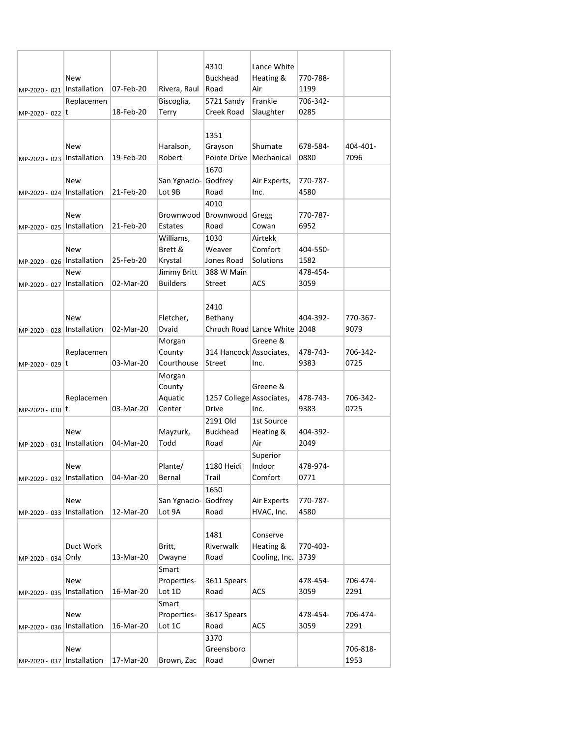|                              | New          |           |                 | 4310<br><b>Buckhead</b>  | Lance White<br>Heating & | 770-788- |          |
|------------------------------|--------------|-----------|-----------------|--------------------------|--------------------------|----------|----------|
| MP-2020 - 021   Installation |              | 07-Feb-20 | Rivera, Raul    | Road                     | Air                      | 1199     |          |
|                              | Replacemen   |           | Biscoglia,      | 5721 Sandy               | Frankie                  | 706-342- |          |
| MP-2020 - 022 t              |              | 18-Feb-20 | Terry           | Creek Road               | Slaughter                | 0285     |          |
|                              |              |           |                 |                          |                          |          |          |
|                              |              |           |                 | 1351                     |                          |          |          |
|                              | New          |           | Haralson,       | Grayson                  | Shumate                  | 678-584- | 404-401- |
| MP-2020 - 023   Installation |              | 19-Feb-20 | Robert          | Pointe Drive             | Mechanical               | 0880     | 7096     |
|                              |              |           |                 | 1670                     |                          |          |          |
|                              | New          |           | San Ygnacio-    | Godfrey                  | Air Experts,             | 770-787- |          |
| MP-2020 - 024   Installation |              | 21-Feb-20 | Lot 9B          | Road                     | Inc.                     | 4580     |          |
|                              |              |           |                 | 4010                     |                          |          |          |
|                              | New          |           | Brownwood       | Brownwood                | Gregg                    | 770-787- |          |
| MP-2020 - 025                | Installation | 21-Feb-20 | Estates         | Road                     | Cowan                    | 6952     |          |
|                              |              |           | Williams,       | 1030                     | Airtekk                  |          |          |
|                              | New          |           | Brett &         | Weaver                   | Comfort                  | 404-550- |          |
| MP-2020 - 026   Installation |              | 25-Feb-20 | Krystal         | Jones Road               | Solutions                | 1582     |          |
|                              | <b>New</b>   |           | Jimmy Britt     | 388 W Main               |                          | 478-454- |          |
| MP-2020 - 027   Installation |              | 02-Mar-20 | <b>Builders</b> | Street                   | ACS                      | 3059     |          |
|                              |              |           |                 |                          |                          |          |          |
|                              |              |           |                 | 2410                     |                          |          |          |
|                              | New          |           | Fletcher,       | Bethany                  |                          | 404-392- | 770-367- |
| MP-2020 - 028   Installation |              | 02-Mar-20 | Dvaid           |                          | Chruch Road Lance White  | 2048     | 9079     |
|                              |              |           | Morgan          |                          | Greene &                 |          |          |
|                              | Replacemen   |           | County          | 314 Hancock Associates,  |                          | 478-743- | 706-342- |
| MP-2020 - 029 t              |              | 03-Mar-20 | Courthouse      | Street                   | Inc.                     | 9383     | 0725     |
|                              |              |           | Morgan          |                          |                          |          |          |
|                              |              |           | County          |                          | Greene &                 |          |          |
|                              | Replacemen   |           | Aquatic         | 1257 College Associates, |                          | 478-743- | 706-342- |
| MP-2020 - 030 t              |              | 03-Mar-20 | Center          | Drive                    | Inc.                     | 9383     | 0725     |
|                              |              |           |                 | 2191 Old                 | 1st Source               |          |          |
|                              | New          |           | Mayzurk,        | <b>Buckhead</b>          | Heating &                | 404-392- |          |
| MP-2020 - 031                | Installation | 04-Mar-20 | Todd            | Road                     | Air                      | 2049     |          |
|                              |              |           |                 |                          | Superior                 |          |          |
|                              | New          |           | Plante/         | 1180 Heidi               | Indoor                   | 478-974- |          |
| MP-2020 - 032   Installation |              | 04-Mar-20 | Bernal          | Trail                    | Comfort                  | 0771     |          |
|                              |              |           |                 | 1650                     |                          |          |          |
|                              | New          |           | San Ygnacio-    | Godfrey                  | Air Experts              | 770-787- |          |
| MP-2020 - 033   Installation |              | 12-Mar-20 | Lot 9A          | Road                     | HVAC, Inc.               | 4580     |          |
|                              |              |           |                 |                          |                          |          |          |
|                              |              |           |                 | 1481                     | Conserve                 |          |          |
|                              | Duct Work    |           | Britt,          | Riverwalk                | Heating &                | 770-403- |          |
| MP-2020 - 034 Only           |              | 13-Mar-20 | Dwayne          | Road                     | Cooling, Inc.            | 3739     |          |
|                              |              |           | Smart           |                          |                          |          |          |
|                              | New          |           | Properties-     | 3611 Spears              |                          | 478-454- | 706-474- |
| MP-2020 - 035   Installation |              | 16-Mar-20 | Lot 1D          | Road                     | ACS                      | 3059     | 2291     |
|                              |              |           | Smart           |                          |                          |          |          |
|                              | New          |           | Properties-     | 3617 Spears              |                          | 478-454- | 706-474- |
| MP-2020 - 036                | Installation | 16-Mar-20 | Lot 1C          | Road                     | ACS                      | 3059     | 2291     |
|                              |              |           |                 | 3370                     |                          |          |          |
|                              | New          |           |                 | Greensboro               |                          |          | 706-818- |
| MP-2020 - 037   Installation |              | 17-Mar-20 | Brown, Zac      | Road                     | Owner                    |          | 1953     |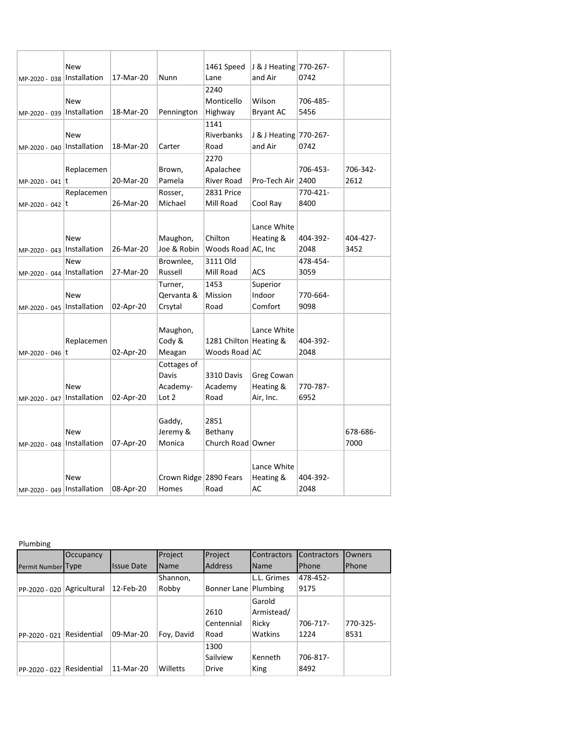| MP-2020 - 038                | New<br>Installation | 17-Mar-20 | Nunn                                      | 1461 Speed<br>Lane                        | J & J Heating 770-267-<br>and Air    | 0742             |                  |
|------------------------------|---------------------|-----------|-------------------------------------------|-------------------------------------------|--------------------------------------|------------------|------------------|
| MP-2020 - 039                | New<br>Installation | 18-Mar-20 | Pennington                                | 2240<br>Monticello<br>Highway             | Wilson<br><b>Bryant AC</b>           | 706-485-<br>5456 |                  |
| MP-2020 - 040   Installation | New                 | 18-Mar-20 | Carter                                    | 1141<br>Riverbanks<br>Road                | J & J Heating 770-267-<br>and Air    | 0742             |                  |
| MP-2020 - 041 t              | Replacemen          | 20-Mar-20 | Brown,<br>Pamela                          | 2270<br>Apalachee<br><b>River Road</b>    | Pro-Tech Air                         | 706-453-<br>2400 | 706-342-<br>2612 |
| MP-2020 - 042 t              | Replacemen          | 26-Mar-20 | Rosser,<br>Michael                        | 2831 Price<br>Mill Road                   | Cool Ray                             | 770-421-<br>8400 |                  |
| MP-2020 - 043                | New<br>Installation | 26-Mar-20 | Maughon,<br>Joe & Robin                   | Chilton<br>Woods Road AC, Inc             | Lance White<br>Heating &             | 404-392-<br>2048 | 404-427-<br>3452 |
| MP-2020 - 044   Installation | New                 | 27-Mar-20 | Brownlee,<br>Russell                      | 3111 Old<br>Mill Road                     | ACS                                  | 478-454-<br>3059 |                  |
| MP-2020 - 045   Installation | New                 | 02-Apr-20 | Turner,<br>Qervanta &<br>Crsytal          | 1453<br>Mission<br>Road                   | Superior<br>Indoor<br>Comfort        | 770-664-<br>9098 |                  |
| MP-2020 - 046                | Replacemen<br>Ιt    | 02-Apr-20 | Maughon,<br>Cody &<br>Meagan              | 1281 Chilton   Heating &<br>Woods Road AC | Lance White                          | 404-392-<br>2048 |                  |
| MP-2020 - 047   Installation | New                 | 02-Apr-20 | Cottages of<br>Davis<br>Academy-<br>Lot 2 | 3310 Davis<br>Academy<br>Road             | Greg Cowan<br>Heating &<br>Air, Inc. | 770-787-<br>6952 |                  |
| MP-2020 - 048   Installation | New                 | 07-Apr-20 | Gaddy,<br>Jeremy &<br>Monica              | 2851<br>Bethany<br>Church Road Owner      |                                      |                  | 678-686-<br>7000 |
| MP-2020 - 049   Installation | New                 | 08-Apr-20 | Crown Ridge 2890 Fears<br>Homes           | Road                                      | Lance White<br>Heating &<br>AC       | 404-392-<br>2048 |                  |

## Plumbing

|                           | Occupancy    |                    | Project     | Project        | <b>Contractors</b> | Contractors | Owners   |
|---------------------------|--------------|--------------------|-------------|----------------|--------------------|-------------|----------|
| Permit Number Type        |              | <b>Ilssue Date</b> | <b>Name</b> | <b>Address</b> | <b>Name</b>        | Phone       | Phone    |
|                           |              |                    | Shannon,    |                | L.L. Grimes        | 478-452-    |          |
| PP-2020 - 020             | Agricultural | 12-Feb-20          | Robby       | Bonner Lane    | Plumbing           | 9175        |          |
|                           |              |                    |             |                | Garold             |             |          |
|                           |              |                    |             | 2610           | Armistead/         |             |          |
|                           |              |                    |             | Centennial     | Ricky              | 706-717-    | 770-325- |
| PP-2020 - 021             | Residential  | 09-Mar-20          | Foy, David  | Road           | Watkins            | 1224        | 8531     |
|                           |              |                    |             | 1300           |                    |             |          |
|                           |              |                    |             | Sailview       | Kenneth            | 706-817-    |          |
| PP-2020 - 022 Residential |              | 11-Mar-20          | Willetts    | <b>Drive</b>   | King               | 8492        |          |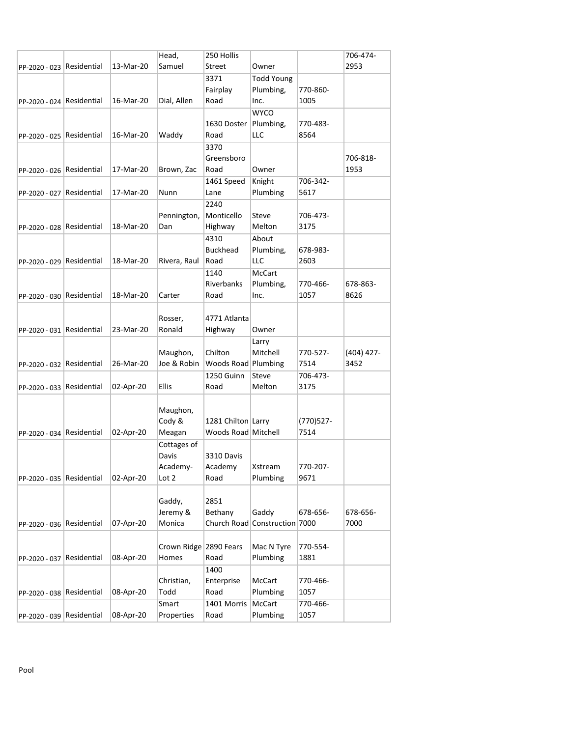|                           |           | Head,                  | 250 Hollis          |                               |                  | 706-474-     |
|---------------------------|-----------|------------------------|---------------------|-------------------------------|------------------|--------------|
| PP-2020 - 023 Residential | 13-Mar-20 | Samuel                 | Street              | Owner                         |                  | 2953         |
|                           |           |                        | 3371                | <b>Todd Young</b>             |                  |              |
|                           |           |                        | Fairplay            | Plumbing,                     | 770-860-         |              |
| PP-2020 - 024 Residential | 16-Mar-20 | Dial, Allen            | Road                | Inc.                          | 1005             |              |
|                           |           |                        |                     | <b>WYCO</b>                   |                  |              |
|                           |           |                        | 1630 Doster         | Plumbing,                     | 770-483-         |              |
| PP-2020 - 025 Residential | 16-Mar-20 | Waddy                  | Road                | LLC                           | 8564             |              |
|                           |           |                        | 3370                |                               |                  |              |
|                           |           |                        | Greensboro          |                               |                  | 706-818-     |
| PP-2020 - 026 Residential | 17-Mar-20 | Brown, Zac             | Road                | Owner                         |                  | 1953         |
|                           |           |                        | 1461 Speed          | Knight                        | 706-342-         |              |
| PP-2020 - 027 Residential | 17-Mar-20 | Nunn                   | Lane                | Plumbing                      | 5617             |              |
|                           |           |                        | 2240                |                               |                  |              |
|                           |           | Pennington,            | Monticello          | Steve                         | 706-473-         |              |
| PP-2020 - 028 Residential | 18-Mar-20 | Dan                    | Highway             | Melton                        | 3175             |              |
|                           |           |                        | 4310                | About                         |                  |              |
|                           |           |                        | <b>Buckhead</b>     | Plumbing,                     | 678-983-         |              |
| PP-2020 - 029 Residential | 18-Mar-20 | Rivera, Raul           | Road                | LLC                           | 2603             |              |
|                           |           |                        | 1140                | <b>McCart</b>                 |                  |              |
|                           |           |                        | Riverbanks          | Plumbing,                     | 770-466-         | 678-863-     |
| PP-2020 - 030 Residential | 18-Mar-20 | Carter                 | Road                | Inc.                          | 1057             | 8626         |
|                           |           |                        |                     |                               |                  |              |
|                           |           | Rosser,                | 4771 Atlanta        |                               |                  |              |
| PP-2020 - 031 Residential | 23-Mar-20 | Ronald                 | Highway             | Owner                         |                  |              |
|                           |           |                        |                     | Larry                         |                  |              |
|                           |           | Maughon,               | Chilton             | Mitchell                      | 770-527-         | $(404)$ 427- |
| PP-2020 - 032 Residential | 26-Mar-20 | Joe & Robin            | Woods Road Plumbing |                               | 7514             | 3452         |
|                           |           |                        | 1250 Guinn          | Steve                         | 706-473-         |              |
| PP-2020 - 033 Residential | 02-Apr-20 | Ellis                  | Road                | Melton                        | 3175             |              |
|                           |           |                        |                     |                               |                  |              |
|                           |           | Maughon,               |                     |                               |                  |              |
|                           |           | Cody &                 | 1281 Chilton Larry  |                               | (770) 527-       |              |
| PP-2020 - 034 Residential | 02-Apr-20 | Meagan                 | Woods Road Mitchell |                               | 7514             |              |
|                           |           | Cottages of            |                     |                               |                  |              |
|                           |           | Davis                  | 3310 Davis          |                               |                  |              |
|                           |           | Academy-               | Academy             | Xstream                       | 770-207-         |              |
| PP-2020 - 035 Residential | 02-Apr-20 | Lot 2                  | Road                | Plumbing                      | 9671             |              |
|                           |           |                        |                     |                               |                  |              |
|                           |           | Gaddy,                 | 2851                |                               |                  |              |
|                           |           | Jeremy &               | Bethany             | Gaddy                         | 678-656-         | 678-656-     |
| PP-2020 - 036 Residential | 07-Apr-20 | Monica                 |                     | Church Road Construction 7000 |                  | 7000         |
|                           |           |                        |                     |                               |                  |              |
|                           |           | Crown Ridge 2890 Fears |                     | Mac N Tyre                    | 770-554-         |              |
| PP-2020 - 037 Residential | 08-Apr-20 | Homes                  | Road                | Plumbing                      | 1881             |              |
|                           |           |                        | 1400                |                               |                  |              |
|                           |           | Christian,             | Enterprise          | McCart                        | 770-466-         |              |
| PP-2020 - 038 Residential | 08-Apr-20 | Todd                   | Road                | Plumbing                      | 1057             |              |
|                           |           |                        |                     |                               |                  |              |
| PP-2020 - 039 Residential | 08-Apr-20 | Smart<br>Properties    | 1401 Morris<br>Road | McCart<br>Plumbing            | 770-466-<br>1057 |              |